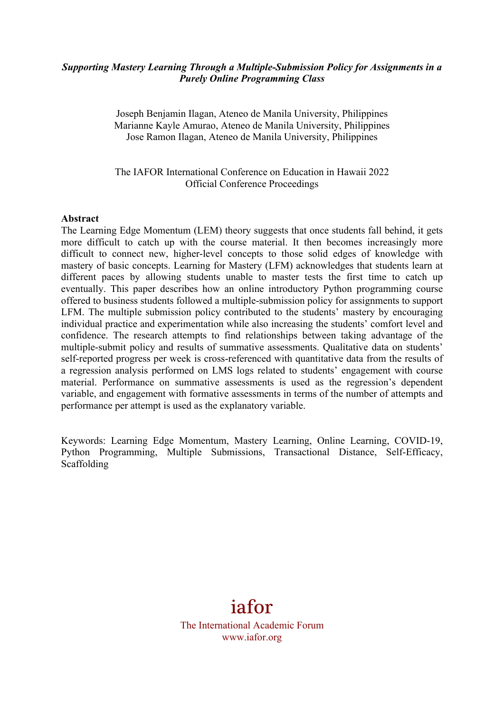#### *Supporting Mastery Learning Through a Multiple-Submission Policy for Assignments in a Purely Online Programming Class*

Joseph Benjamin Ilagan, Ateneo de Manila University, Philippines Marianne Kayle Amurao, Ateneo de Manila University, Philippines Jose Ramon Ilagan, Ateneo de Manila University, Philippines

The IAFOR International Conference on Education in Hawaii 2022 Official Conference Proceedings

#### **Abstract**

The Learning Edge Momentum (LEM) theory suggests that once students fall behind, it gets more difficult to catch up with the course material. It then becomes increasingly more difficult to connect new, higher-level concepts to those solid edges of knowledge with mastery of basic concepts. Learning for Mastery (LFM) acknowledges that students learn at different paces by allowing students unable to master tests the first time to catch up eventually. This paper describes how an online introductory Python programming course offered to business students followed a multiple-submission policy for assignments to support LFM. The multiple submission policy contributed to the students' mastery by encouraging individual practice and experimentation while also increasing the students' comfort level and confidence. The research attempts to find relationships between taking advantage of the multiple-submit policy and results of summative assessments. Qualitative data on students' self-reported progress per week is cross-referenced with quantitative data from the results of a regression analysis performed on LMS logs related to students' engagement with course material. Performance on summative assessments is used as the regression's dependent variable, and engagement with formative assessments in terms of the number of attempts and performance per attempt is used as the explanatory variable.

Keywords: Learning Edge Momentum, Mastery Learning, Online Learning, COVID-19, Python Programming, Multiple Submissions, Transactional Distance, Self-Efficacy, Scaffolding

# iafor

The International Academic Forum www.iafor.org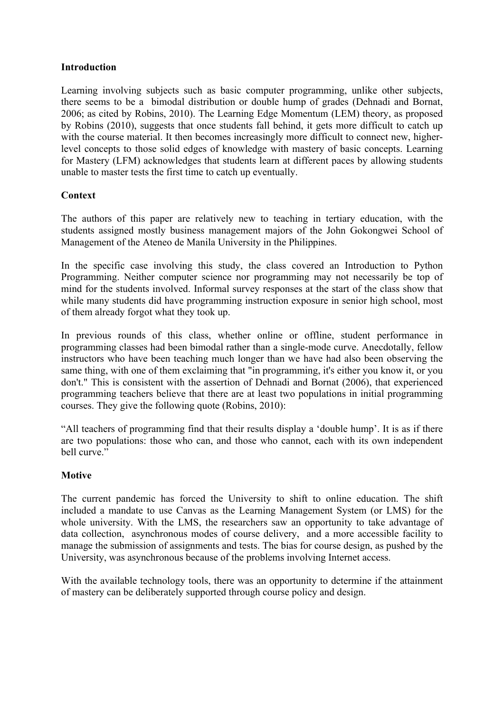#### **Introduction**

Learning involving subjects such as basic computer programming, unlike other subjects, there seems to be a bimodal distribution or double hump of grades (Dehnadi and Bornat, 2006; as cited by Robins, 2010). The Learning Edge Momentum (LEM) theory, as proposed by Robins (2010), suggests that once students fall behind, it gets more difficult to catch up with the course material. It then becomes increasingly more difficult to connect new, higherlevel concepts to those solid edges of knowledge with mastery of basic concepts. Learning for Mastery (LFM) acknowledges that students learn at different paces by allowing students unable to master tests the first time to catch up eventually.

#### **Context**

The authors of this paper are relatively new to teaching in tertiary education, with the students assigned mostly business management majors of the John Gokongwei School of Management of the Ateneo de Manila University in the Philippines.

In the specific case involving this study, the class covered an Introduction to Python Programming. Neither computer science nor programming may not necessarily be top of mind for the students involved. Informal survey responses at the start of the class show that while many students did have programming instruction exposure in senior high school, most of them already forgot what they took up.

In previous rounds of this class, whether online or offline, student performance in programming classes had been bimodal rather than a single-mode curve. Anecdotally, fellow instructors who have been teaching much longer than we have had also been observing the same thing, with one of them exclaiming that "in programming, it's either you know it, or you don't." This is consistent with the assertion of Dehnadi and Bornat (2006), that experienced programming teachers believe that there are at least two populations in initial programming courses. They give the following quote (Robins, 2010):

"All teachers of programming find that their results display a 'double hump'. It is as if there are two populations: those who can, and those who cannot, each with its own independent bell curve."

## **Motive**

The current pandemic has forced the University to shift to online education. The shift included a mandate to use Canvas as the Learning Management System (or LMS) for the whole university. With the LMS, the researchers saw an opportunity to take advantage of data collection, asynchronous modes of course delivery, and a more accessible facility to manage the submission of assignments and tests. The bias for course design, as pushed by the University, was asynchronous because of the problems involving Internet access.

With the available technology tools, there was an opportunity to determine if the attainment of mastery can be deliberately supported through course policy and design.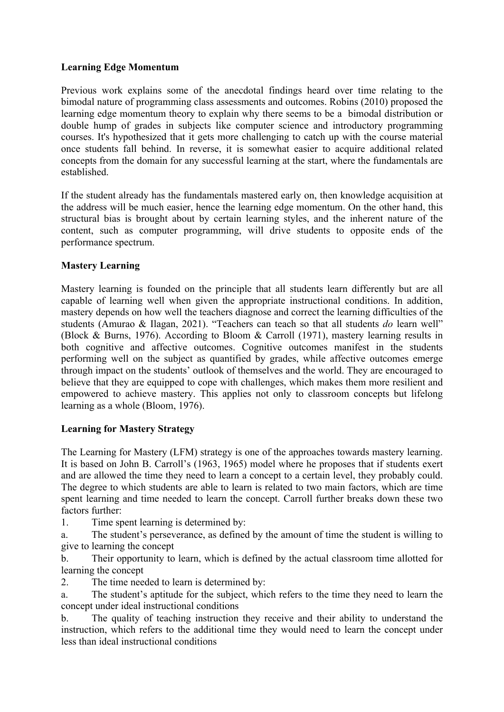## **Learning Edge Momentum**

Previous work explains some of the anecdotal findings heard over time relating to the bimodal nature of programming class assessments and outcomes. Robins (2010) proposed the learning edge momentum theory to explain why there seems to be a bimodal distribution or double hump of grades in subjects like computer science and introductory programming courses. It's hypothesized that it gets more challenging to catch up with the course material once students fall behind. In reverse, it is somewhat easier to acquire additional related concepts from the domain for any successful learning at the start, where the fundamentals are established.

If the student already has the fundamentals mastered early on, then knowledge acquisition at the address will be much easier, hence the learning edge momentum. On the other hand, this structural bias is brought about by certain learning styles, and the inherent nature of the content, such as computer programming, will drive students to opposite ends of the performance spectrum.

## **Mastery Learning**

Mastery learning is founded on the principle that all students learn differently but are all capable of learning well when given the appropriate instructional conditions. In addition, mastery depends on how well the teachers diagnose and correct the learning difficulties of the students (Amurao & Ilagan, 2021). "Teachers can teach so that all students *do* learn well" (Block & Burns, 1976). According to Bloom & Carroll (1971), mastery learning results in both cognitive and affective outcomes. Cognitive outcomes manifest in the students performing well on the subject as quantified by grades, while affective outcomes emerge through impact on the students' outlook of themselves and the world. They are encouraged to believe that they are equipped to cope with challenges, which makes them more resilient and empowered to achieve mastery. This applies not only to classroom concepts but lifelong learning as a whole (Bloom, 1976).

## **Learning for Mastery Strategy**

The Learning for Mastery (LFM) strategy is one of the approaches towards mastery learning. It is based on John B. Carroll's (1963, 1965) model where he proposes that if students exert and are allowed the time they need to learn a concept to a certain level, they probably could. The degree to which students are able to learn is related to two main factors, which are time spent learning and time needed to learn the concept. Carroll further breaks down these two factors further:

1. Time spent learning is determined by:

a. The student's perseverance, as defined by the amount of time the student is willing to give to learning the concept

b. Their opportunity to learn, which is defined by the actual classroom time allotted for learning the concept

2. The time needed to learn is determined by:

a. The student's aptitude for the subject, which refers to the time they need to learn the concept under ideal instructional conditions

b. The quality of teaching instruction they receive and their ability to understand the instruction, which refers to the additional time they would need to learn the concept under less than ideal instructional conditions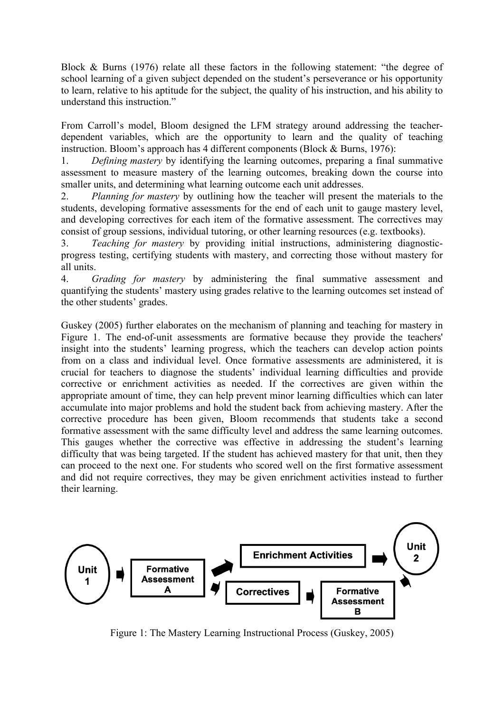Block & Burns (1976) relate all these factors in the following statement: "the degree of school learning of a given subject depended on the student's perseverance or his opportunity to learn, relative to his aptitude for the subject, the quality of his instruction, and his ability to understand this instruction."

From Carroll's model, Bloom designed the LFM strategy around addressing the teacherdependent variables, which are the opportunity to learn and the quality of teaching instruction. Bloom's approach has 4 different components (Block & Burns, 1976):

1. *Defining mastery* by identifying the learning outcomes, preparing a final summative assessment to measure mastery of the learning outcomes, breaking down the course into smaller units, and determining what learning outcome each unit addresses.

2. *Planning for mastery* by outlining how the teacher will present the materials to the students, developing formative assessments for the end of each unit to gauge mastery level, and developing correctives for each item of the formative assessment. The correctives may consist of group sessions, individual tutoring, or other learning resources (e.g. textbooks).

3. *Teaching for mastery* by providing initial instructions, administering diagnosticprogress testing, certifying students with mastery, and correcting those without mastery for all units.

4. *Grading for mastery* by administering the final summative assessment and quantifying the students' mastery using grades relative to the learning outcomes set instead of the other students' grades.

Guskey (2005) further elaborates on the mechanism of planning and teaching for mastery in Figure 1. The end-of-unit assessments are formative because they provide the teachers' insight into the students' learning progress, which the teachers can develop action points from on a class and individual level. Once formative assessments are administered, it is crucial for teachers to diagnose the students' individual learning difficulties and provide corrective or enrichment activities as needed. If the correctives are given within the appropriate amount of time, they can help prevent minor learning difficulties which can later accumulate into major problems and hold the student back from achieving mastery. After the corrective procedure has been given, Bloom recommends that students take a second formative assessment with the same difficulty level and address the same learning outcomes. This gauges whether the corrective was effective in addressing the student's learning difficulty that was being targeted. If the student has achieved mastery for that unit, then they can proceed to the next one. For students who scored well on the first formative assessment and did not require correctives, they may be given enrichment activities instead to further their learning.



Figure 1: The Mastery Learning Instructional Process (Guskey, 2005)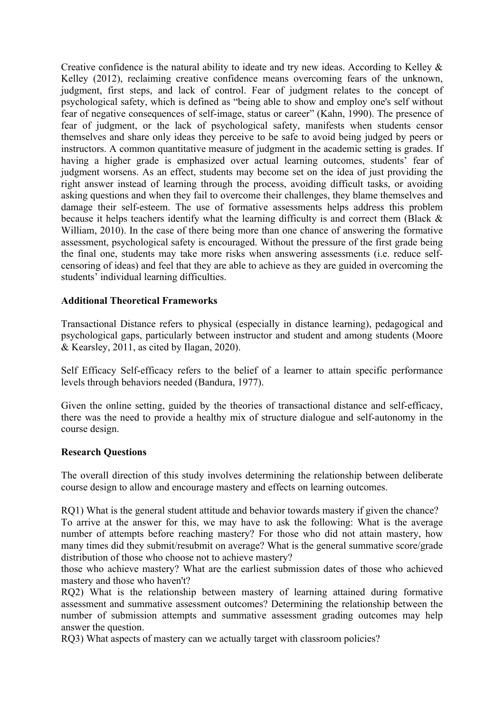Creative confidence is the natural ability to ideate and try new ideas. According to Kelley  $\&$ Kelley (2012), reclaiming creative confidence means overcoming fears of the unknown, judgment, first steps, and lack of control. Fear of judgment relates to the concept of psychological safety, which is defined as "being able to show and employ one's self without fear of negative consequences of self-image, status or career" (Kahn, 1990). The presence of fear of judgment, or the lack of psychological safety, manifests when students censor themselves and share only ideas they perceive to be safe to avoid being judged by peers or instructors. A common quantitative measure of judgment in the academic setting is grades. If having a higher grade is emphasized over actual learning outcomes, students' fear of judgment worsens. As an effect, students may become set on the idea of just providing the right answer instead of learning through the process, avoiding difficult tasks, or avoiding asking questions and when they fail to overcome their challenges, they blame themselves and damage their self-esteem. The use of formative assessments helps address this problem because it helps teachers identify what the learning difficulty is and correct them (Black & William, 2010). In the case of there being more than one chance of answering the formative assessment, psychological safety is encouraged. Without the pressure of the first grade being the final one, students may take more risks when answering assessments (i.e. reduce selfcensoring of ideas) and feel that they are able to achieve as they are guided in overcoming the students' individual learning difficulties.

## **Additional Theoretical Frameworks**

Transactional Distance refers to physical (especially in distance learning), pedagogical and psychological gaps, particularly between instructor and student and among students (Moore & Kearsley, 2011, as cited by Ilagan, 2020).

Self Efficacy Self-efficacy refers to the belief of a learner to attain specific performance levels through behaviors needed (Bandura, 1977).

Given the online setting, guided by the theories of transactional distance and self-efficacy, there was the need to provide a healthy mix of structure dialogue and self-autonomy in the course design.

#### **Research Questions**

The overall direction of this study involves determining the relationship between deliberate course design to allow and encourage mastery and effects on learning outcomes.

RQ1) What is the general student attitude and behavior towards mastery if given the chance? To arrive at the answer for this, we may have to ask the following: What is the average number of attempts before reaching mastery? For those who did not attain mastery, how many times did they submit/resubmit on average? What is the general summative score/grade distribution of those who choose not to achieve mastery?

those who achieve mastery? What are the earliest submission dates of those who achieved mastery and those who haven't?

RQ2) What is the relationship between mastery of learning attained during formative assessment and summative assessment outcomes? Determining the relationship between the number of submission attempts and summative assessment grading outcomes may help answer the question.

RQ3) What aspects of mastery can we actually target with classroom policies?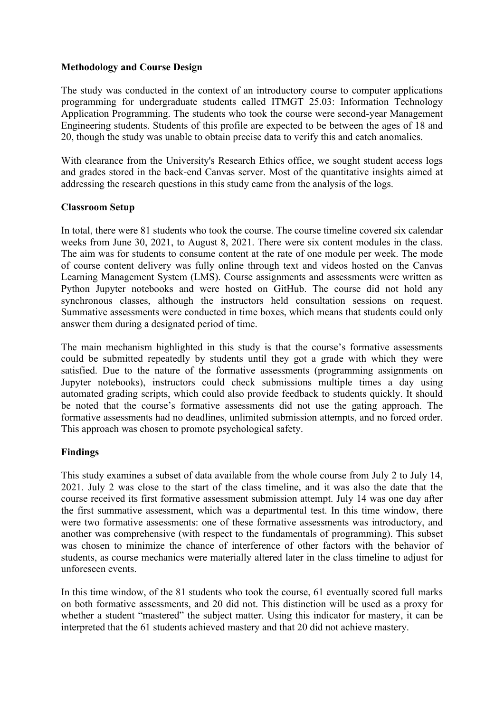#### **Methodology and Course Design**

The study was conducted in the context of an introductory course to computer applications programming for undergraduate students called ITMGT 25.03: Information Technology Application Programming. The students who took the course were second-year Management Engineering students. Students of this profile are expected to be between the ages of 18 and 20, though the study was unable to obtain precise data to verify this and catch anomalies.

With clearance from the University's Research Ethics office, we sought student access logs and grades stored in the back-end Canvas server. Most of the quantitative insights aimed at addressing the research questions in this study came from the analysis of the logs.

## **Classroom Setup**

In total, there were 81 students who took the course. The course timeline covered six calendar weeks from June 30, 2021, to August 8, 2021. There were six content modules in the class. The aim was for students to consume content at the rate of one module per week. The mode of course content delivery was fully online through text and videos hosted on the Canvas Learning Management System (LMS). Course assignments and assessments were written as Python Jupyter notebooks and were hosted on GitHub. The course did not hold any synchronous classes, although the instructors held consultation sessions on request. Summative assessments were conducted in time boxes, which means that students could only answer them during a designated period of time.

The main mechanism highlighted in this study is that the course's formative assessments could be submitted repeatedly by students until they got a grade with which they were satisfied. Due to the nature of the formative assessments (programming assignments on Jupyter notebooks), instructors could check submissions multiple times a day using automated grading scripts, which could also provide feedback to students quickly. It should be noted that the course's formative assessments did not use the gating approach. The formative assessments had no deadlines, unlimited submission attempts, and no forced order. This approach was chosen to promote psychological safety.

## **Findings**

This study examines a subset of data available from the whole course from July 2 to July 14, 2021. July 2 was close to the start of the class timeline, and it was also the date that the course received its first formative assessment submission attempt. July 14 was one day after the first summative assessment, which was a departmental test. In this time window, there were two formative assessments: one of these formative assessments was introductory, and another was comprehensive (with respect to the fundamentals of programming). This subset was chosen to minimize the chance of interference of other factors with the behavior of students, as course mechanics were materially altered later in the class timeline to adjust for unforeseen events.

In this time window, of the 81 students who took the course, 61 eventually scored full marks on both formative assessments, and 20 did not. This distinction will be used as a proxy for whether a student "mastered" the subject matter. Using this indicator for mastery, it can be interpreted that the 61 students achieved mastery and that 20 did not achieve mastery.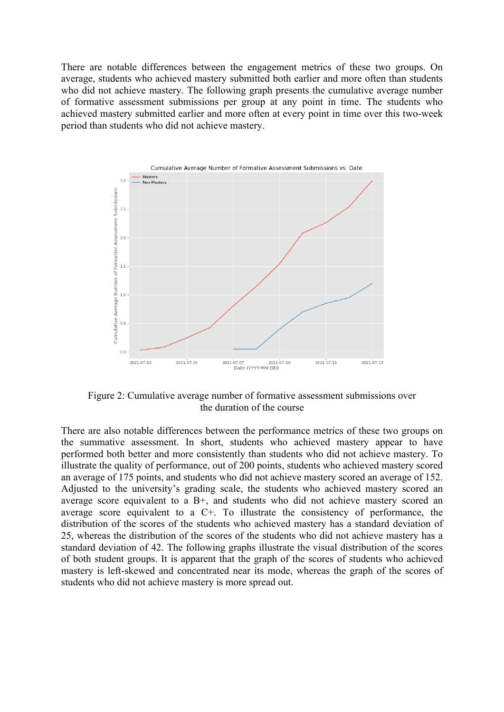There are notable differences between the engagement metrics of these two groups. On average, students who achieved mastery submitted both earlier and more often than students who did not achieve mastery. The following graph presents the cumulative average number of formative assessment submissions per group at any point in time. The students who achieved mastery submitted earlier and more often at every point in time over this two-week period than students who did not achieve mastery.



Figure 2: Cumulative average number of formative assessment submissions over the duration of the course

There are also notable differences between the performance metrics of these two groups on the summative assessment. In short, students who achieved mastery appear to have performed both better and more consistently than students who did not achieve mastery. To illustrate the quality of performance, out of 200 points, students who achieved mastery scored an average of 175 points, and students who did not achieve mastery scored an average of 152. Adjusted to the university's grading scale, the students who achieved mastery scored an average score equivalent to a B+, and students who did not achieve mastery scored an average score equivalent to a C+. To illustrate the consistency of performance, the distribution of the scores of the students who achieved mastery has a standard deviation of 25, whereas the distribution of the scores of the students who did not achieve mastery has a standard deviation of 42. The following graphs illustrate the visual distribution of the scores of both student groups. It is apparent that the graph of the scores of students who achieved mastery is left-skewed and concentrated near its mode, whereas the graph of the scores of students who did not achieve mastery is more spread out.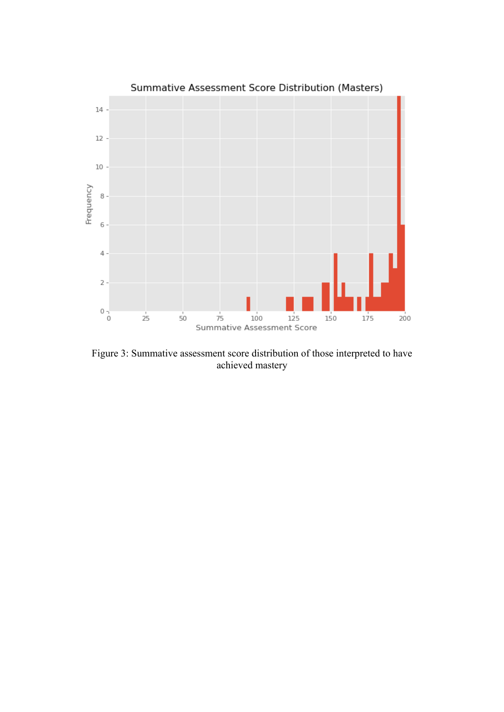

Figure 3: Summative assessment score distribution of those interpreted to have achieved mastery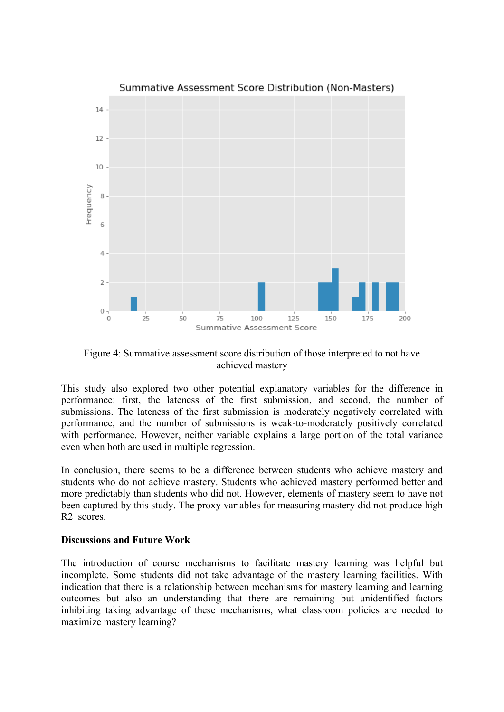

Figure 4: Summative assessment score distribution of those interpreted to not have achieved mastery

This study also explored two other potential explanatory variables for the difference in performance: first, the lateness of the first submission, and second, the number of submissions. The lateness of the first submission is moderately negatively correlated with performance, and the number of submissions is weak-to-moderately positively correlated with performance. However, neither variable explains a large portion of the total variance even when both are used in multiple regression.

In conclusion, there seems to be a difference between students who achieve mastery and students who do not achieve mastery. Students who achieved mastery performed better and more predictably than students who did not. However, elements of mastery seem to have not been captured by this study. The proxy variables for measuring mastery did not produce high R2 scores.

#### **Discussions and Future Work**

The introduction of course mechanisms to facilitate mastery learning was helpful but incomplete. Some students did not take advantage of the mastery learning facilities. With indication that there is a relationship between mechanisms for mastery learning and learning outcomes but also an understanding that there are remaining but unidentified factors inhibiting taking advantage of these mechanisms, what classroom policies are needed to maximize mastery learning?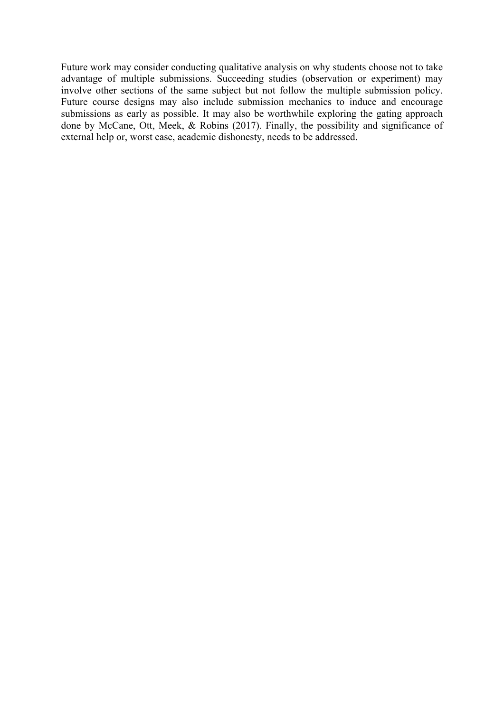Future work may consider conducting qualitative analysis on why students choose not to take advantage of multiple submissions. Succeeding studies (observation or experiment) may involve other sections of the same subject but not follow the multiple submission policy. Future course designs may also include submission mechanics to induce and encourage submissions as early as possible. It may also be worthwhile exploring the gating approach done by McCane, Ott, Meek, & Robins (2017). Finally, the possibility and significance of external help or, worst case, academic dishonesty, needs to be addressed.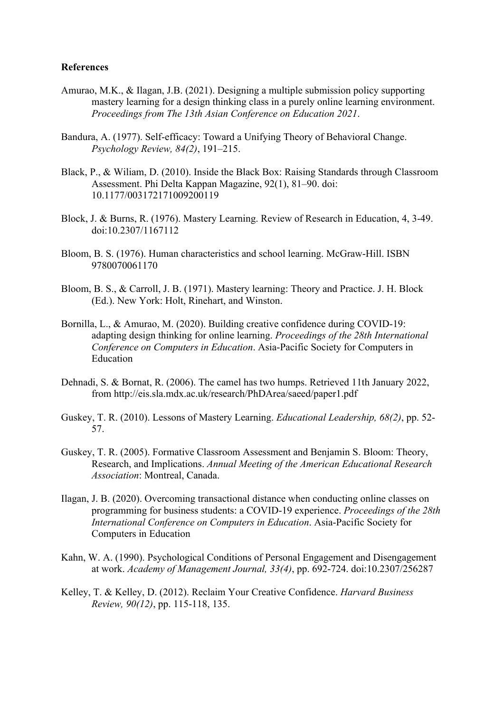#### **References**

- Amurao, M.K., & Ilagan, J.B. (2021). Designing a multiple submission policy supporting mastery learning for a design thinking class in a purely online learning environment. *Proceedings from The 13th Asian Conference on Education 2021*.
- Bandura, A. (1977). Self-efficacy: Toward a Unifying Theory of Behavioral Change. *Psychology Review, 84(2)*, 191–215.
- Black, P., & Wiliam, D. (2010). Inside the Black Box: Raising Standards through Classroom Assessment. Phi Delta Kappan Magazine, 92(1), 81–90. doi: 10.1177/003172171009200119
- Block, J. & Burns, R. (1976). Mastery Learning. Review of Research in Education, 4, 3-49. doi:10.2307/1167112
- Bloom, B. S. (1976). Human characteristics and school learning. McGraw-Hill. ISBN 9780070061170
- Bloom, B. S., & Carroll, J. B. (1971). Mastery learning: Theory and Practice. J. H. Block (Ed.). New York: Holt, Rinehart, and Winston.
- Bornilla, L., & Amurao, M. (2020). Building creative confidence during COVID-19: adapting design thinking for online learning. *Proceedings of the 28th International Conference on Computers in Education*. Asia-Pacific Society for Computers in Education
- Dehnadi, S. & Bornat, R. (2006). The camel has two humps. Retrieved 11th January 2022, from http://eis.sla.mdx.ac.uk/research/PhDArea/saeed/paper1.pdf
- Guskey, T. R. (2010). Lessons of Mastery Learning. *Educational Leadership, 68(2)*, pp. 52- 57.
- Guskey, T. R. (2005). Formative Classroom Assessment and Benjamin S. Bloom: Theory, Research, and Implications. *Annual Meeting of the American Educational Research Association*: Montreal, Canada.
- Ilagan, J. B. (2020). Overcoming transactional distance when conducting online classes on programming for business students: a COVID-19 experience. *Proceedings of the 28th International Conference on Computers in Education*. Asia-Pacific Society for Computers in Education
- Kahn, W. A. (1990). Psychological Conditions of Personal Engagement and Disengagement at work. *Academy of Management Journal, 33(4)*, pp. 692-724. doi:10.2307/256287
- Kelley, T. & Kelley, D. (2012). Reclaim Your Creative Confidence. *Harvard Business Review, 90(12)*, pp. 115-118, 135.